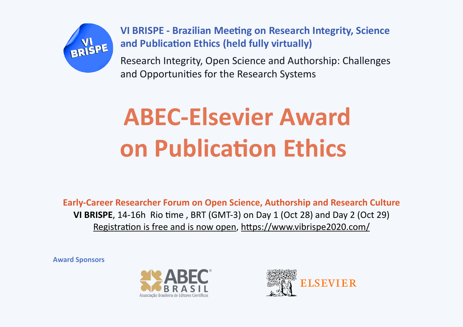

**VI BRISPE - Brazilian Meeting on Research Integrity, Science and Publication Ethics (held fully virtually)**

Research Integrity, Open Science and Authorship: Challenges and Opportunities for the Research Systems

## **ABEC-Elsevier Award on Publication Ethics**

**Early-Career Researcher Forum on Open Science, Authorship and Research Culture VI BRISPE**, 14-16h Rio time , BRT (GMT-3) on Day 1 (Oct 28) and Day 2 (Oct 29) Registration is free and is now open, <https://www.vibrispe2020.com/>

**Award Sponsors**